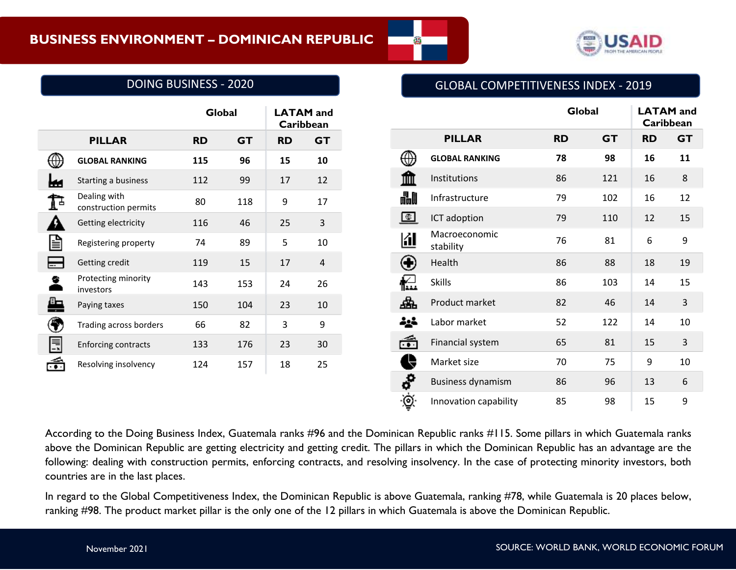

# DOING BUSINESS - 2020

|  |  | <b>GLOBAL COMPETITIVENESS INDEX - 2019</b> |  |  |
|--|--|--------------------------------------------|--|--|
|--|--|--------------------------------------------|--|--|

Innovation capability 185 98 15 9

|   |                                      |           | Global    |           | <b>LATAM</b> and<br>Caribbean |
|---|--------------------------------------|-----------|-----------|-----------|-------------------------------|
|   | <b>PILLAR</b>                        | <b>RD</b> | <b>GT</b> | <b>RD</b> | <b>GT</b>                     |
| ⊕ | <b>GLOBAL RANKING</b>                | 115       | 96        | 15        | 10                            |
| ш | Starting a business                  | 112       | 99        | 17        | 12                            |
| Þ | Dealing with<br>construction permits | 80        | 118       | 9         | 17                            |
| ₽ | Getting electricity                  | 116       | 46        | 25        | $\overline{3}$                |
| e | Registering property                 | 74        | 89        | 5         | 10                            |
| ⊟ | Getting credit                       | 119       | 15        | 17        | 4                             |
| ۰ | Protecting minority<br>investors     | 143       | 153       | 24        | 26                            |
| 4 | Paying taxes                         | 150       | 104       | 23        | 10                            |
| ◈ | Trading across borders               | 66        | 82        | 3         | 9                             |
| 員 | <b>Enforcing contracts</b>           | 133       | 176       | 23        | 30                            |
| ć | Resolving insolvency                 | 124       | 157       | 18        | 25                            |
|   |                                      |           |           |           |                               |
|   |                                      |           |           |           |                               |

æ.

According to the Doing Business Index, Guatemala ranks #96 and the Dominican Republic ranks #115. Some pillars in which Guatemala ranks above the Dominican Republic are getting electricity and getting credit. The pillars in which the Dominican Republic has an advantage are the following: dealing with construction permits, enforcing contracts, and resolving insolvency. In the case of protecting minority investors, both countries are in the last places.

∙©୍

In regard to the Global Competitiveness Index, the Dominican Republic is above Guatemala, ranking #78, while Guatemala is 20 places below, ranking #98. The product market pillar is the only one of the 12 pillars in which Guatemala is above the Dominican Republic.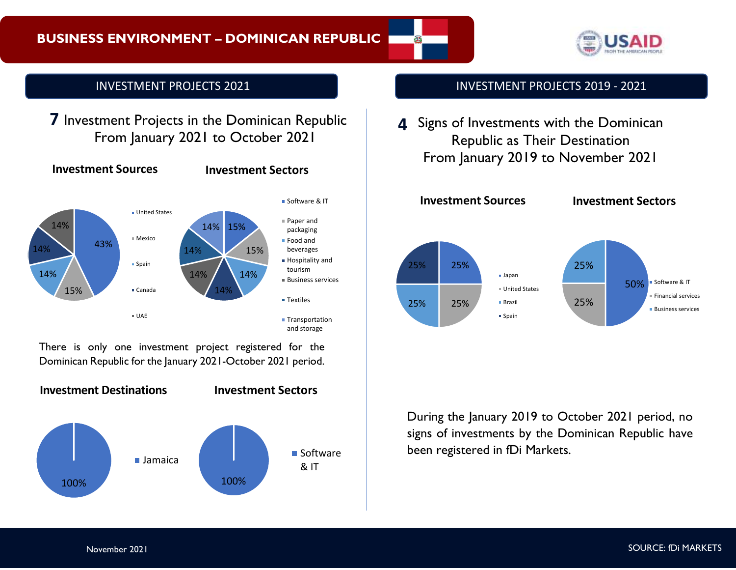

# INVESTMENT PROJECTS 2021

**7** Investment Projects in the Dominican Republic From January 2021 to October 2021



There is only one investment project registered for the Dominican Republic for the January 2021-October 2021 period.



# INVESTMENT PROJECTS 2019 - 2021

Signs of Investments with the Dominican **4** Republic as Their Destination From January 2019 to November 2021



During the January 2019 to October 2021 period, no signs of investments by the Dominican Republic have been registered in fDi Markets.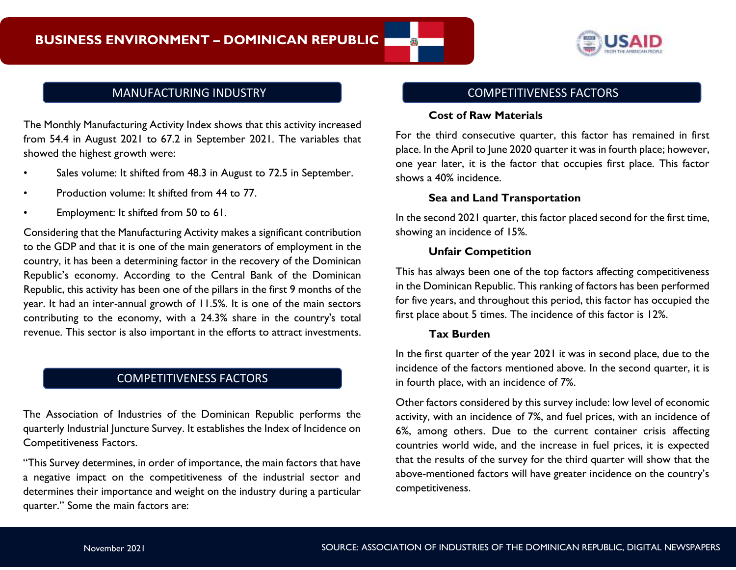

The Monthly Manufacturing Activity Index shows that this activity increased from 54.4 in August 2021 to 67.2 in September 2021. The variables that showed the highest growth were:

- Sales volume: It shifted from 48.3 in August to 72.5 in September.
- Production volume: It shifted from 44 to 77.
- Employment: It shifted from 50 to 61.

Considering that the Manufacturing Activity makes a significant contribution to the GDP and that it is one of the main generators of employment in the country, it has been a determining factor in the recovery of the Dominican Republic's economy. According to the Central Bank of the Dominican Republic, this activity has been one of the pillars in the first 9 months of the year. It had an inter-annual growth of 11.5%. It is one of the main sectors contributing to the economy, with a 24.3% share in the country's total revenue. This sector is also important in the efforts to attract investments.

# COMPETITIVENESS FACTORS

The Association of Industries of the Dominican Republic performs the quarterly Industrial Juncture Survey. It establishes the Index of Incidence on Competitiveness Factors.

"This Survey determines, in order of importance, the main factors that have a negative impact on the competitiveness of the industrial sector and determines their importance and weight on the industry during a particular quarter." Some the main factors are:

# MANUFACTURING INDUSTRY NETWORKS AND THE MANUFACTURING INDUSTRY

#### **Cost of Raw Materials**

For the third consecutive quarter, this factor has remained in first place. In the April to June 2020 quarter it was in fourth place; however, one year later, it is the factor that occupies first place. This factor shows a 40% incidence.

## **Sea and Land Transportation**

In the second 2021 quarter, this factor placed second for the first time, showing an incidence of 15%.

#### **Unfair Competition**

This has always been one of the top factors affecting competitiveness in the Dominican Republic. This ranking of factors has been performed for five years, and throughout this period, this factor has occupied the first place about 5 times. The incidence of this factor is 12%.

#### **Tax Burden**

In the first quarter of the year 2021 it was in second place, due to the incidence of the factors mentioned above. In the second quarter, it is in fourth place, with an incidence of 7%.

Other factors considered by this survey include: low level of economic activity, with an incidence of 7%, and fuel prices, with an incidence of 6%, among others. Due to the current container crisis affecting countries world wide, and the increase in fuel prices, it is expected that the results of the survey for the third quarter will show that the above-mentioned factors will have greater incidence on the country's competitiveness.